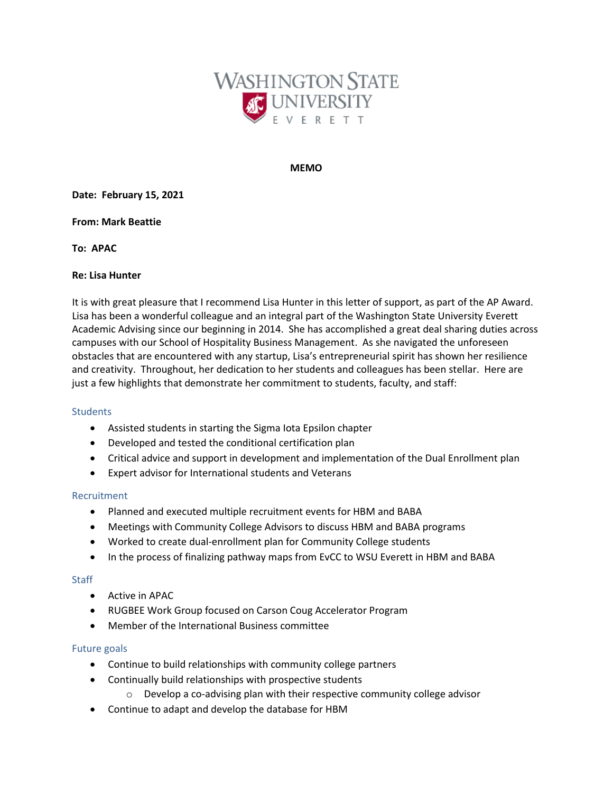

#### **MEMO**

**Date: February 15, 2021**

#### **From: Mark Beattie**

**To: APAC**

#### **Re: Lisa Hunter**

It is with great pleasure that I recommend Lisa Hunter in this letter of support, as part of the AP Award. Lisa has been a wonderful colleague and an integral part of the Washington State University Everett Academic Advising since our beginning in 2014. She has accomplished a great deal sharing duties across campuses with our School of Hospitality Business Management. As she navigated the unforeseen obstacles that are encountered with any startup, Lisa's entrepreneurial spirit has shown her resilience and creativity. Throughout, her dedication to her students and colleagues has been stellar. Here are just a few highlights that demonstrate her commitment to students, faculty, and staff:

#### **Students**

- Assisted students in starting the Sigma Iota Epsilon chapter
- Developed and tested the conditional certification plan
- Critical advice and support in development and implementation of the Dual Enrollment plan
- Expert advisor for International students and Veterans

## Recruitment

- Planned and executed multiple recruitment events for HBM and BABA
- Meetings with Community College Advisors to discuss HBM and BABA programs
- Worked to create dual-enrollment plan for Community College students
- In the process of finalizing pathway maps from EvCC to WSU Everett in HBM and BABA

## **Staff**

- Active in APAC
- RUGBEE Work Group focused on Carson Coug Accelerator Program
- Member of the International Business committee

## Future goals

- Continue to build relationships with community college partners
- Continually build relationships with prospective students
	- o Develop a co-advising plan with their respective community college advisor
- Continue to adapt and develop the database for HBM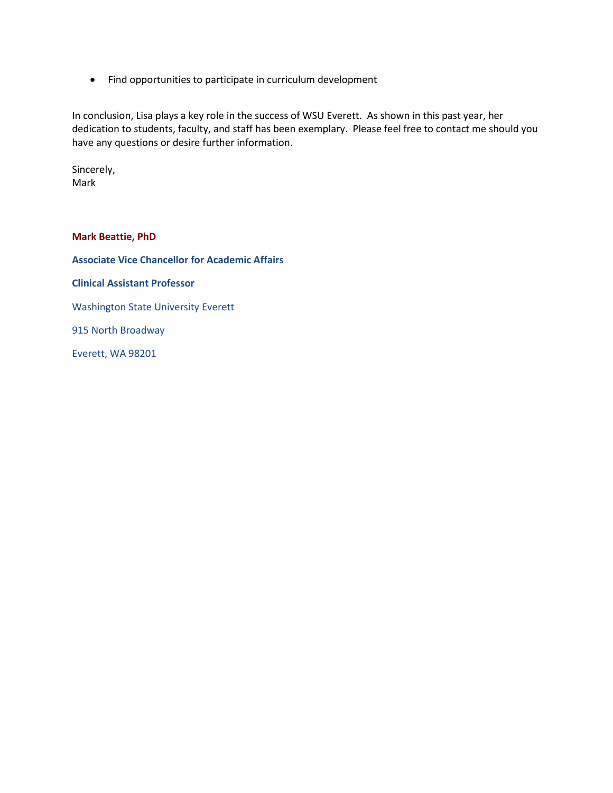• Find opportunities to participate in curriculum development

In conclusion, Lisa plays a key role in the success of WSU Everett. As shown in this past year, her dedication to students, faculty, and staff has been exemplary. Please feel free to contact me should you have any questions or desire further information.

Sincerely, Mark

**Mark Beattie, PhD**

**Associate Vice Chancellor for Academic Affairs**

**Clinical Assistant Professor**

Washington State University Everett

915 North Broadway

Everett, WA 98201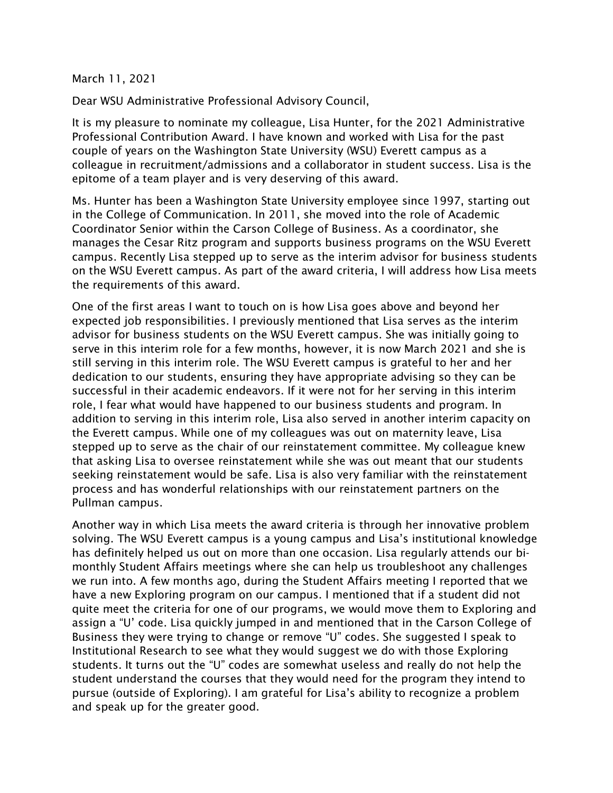# March 11, 2021

Dear WSU Administrative Professional Advisory Council,

It is my pleasure to nominate my colleague, Lisa Hunter, for the 2021 Administrative Professional Contribution Award. I have known and worked with Lisa for the past couple of years on the Washington State University (WSU) Everett campus as a colleague in recruitment/admissions and a collaborator in student success. Lisa is the epitome of a team player and is very deserving of this award.

Ms. Hunter has been a Washington State University employee since 1997, starting out in the College of Communication. In 2011, she moved into the role of Academic Coordinator Senior within the Carson College of Business. As a coordinator, she manages the Cesar Ritz program and supports business programs on the WSU Everett campus. Recently Lisa stepped up to serve as the interim advisor for business students on the WSU Everett campus. As part of the award criteria, I will address how Lisa meets the requirements of this award.

One of the first areas I want to touch on is how Lisa goes above and beyond her expected job responsibilities. I previously mentioned that Lisa serves as the interim advisor for business students on the WSU Everett campus. She was initially going to serve in this interim role for a few months, however, it is now March 2021 and she is still serving in this interim role. The WSU Everett campus is grateful to her and her dedication to our students, ensuring they have appropriate advising so they can be successful in their academic endeavors. If it were not for her serving in this interim role, I fear what would have happened to our business students and program. In addition to serving in this interim role, Lisa also served in another interim capacity on the Everett campus. While one of my colleagues was out on maternity leave, Lisa stepped up to serve as the chair of our reinstatement committee. My colleague knew that asking Lisa to oversee reinstatement while she was out meant that our students seeking reinstatement would be safe. Lisa is also very familiar with the reinstatement process and has wonderful relationships with our reinstatement partners on the Pullman campus.

Another way in which Lisa meets the award criteria is through her innovative problem solving. The WSU Everett campus is a young campus and Lisa's institutional knowledge has definitely helped us out on more than one occasion. Lisa regularly attends our bimonthly Student Affairs meetings where she can help us troubleshoot any challenges we run into. A few months ago, during the Student Affairs meeting I reported that we have a new Exploring program on our campus. I mentioned that if a student did not quite meet the criteria for one of our programs, we would move them to Exploring and assign a "U' code. Lisa quickly jumped in and mentioned that in the Carson College of Business they were trying to change or remove "U" codes. She suggested I speak to Institutional Research to see what they would suggest we do with those Exploring students. It turns out the "U" codes are somewhat useless and really do not help the student understand the courses that they would need for the program they intend to pursue (outside of Exploring). I am grateful for Lisa's ability to recognize a problem and speak up for the greater good.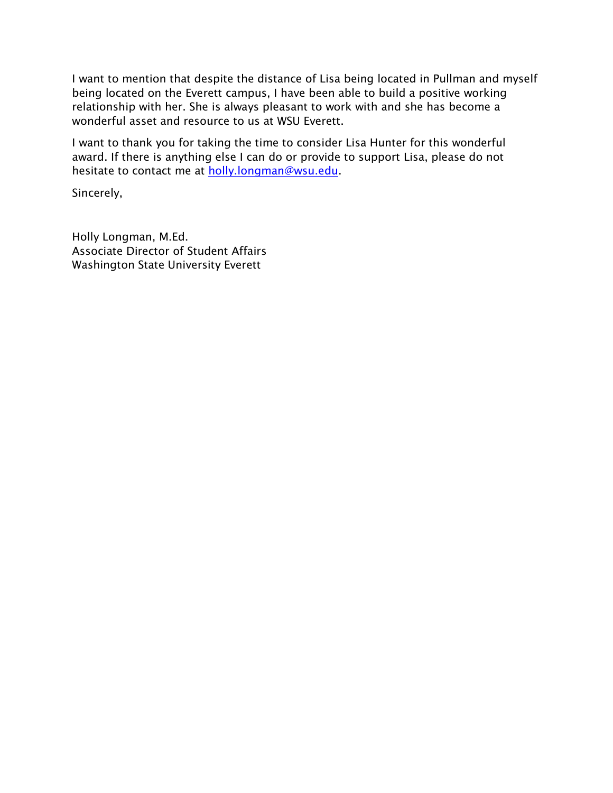I want to mention that despite the distance of Lisa being located in Pullman and myself being located on the Everett campus, I have been able to build a positive working relationship with her. She is always pleasant to work with and she has become a wonderful asset and resource to us at WSU Everett.

I want to thank you for taking the time to consider Lisa Hunter for this wonderful award. If there is anything else I can do or provide to support Lisa, please do not hesitate to contact me at [holly.longman@wsu.edu.](mailto:holly.longman@wsu.edu)

Sincerely,

Holly Longman, M.Ed. Associate Director of Student Affairs Washington State University Everett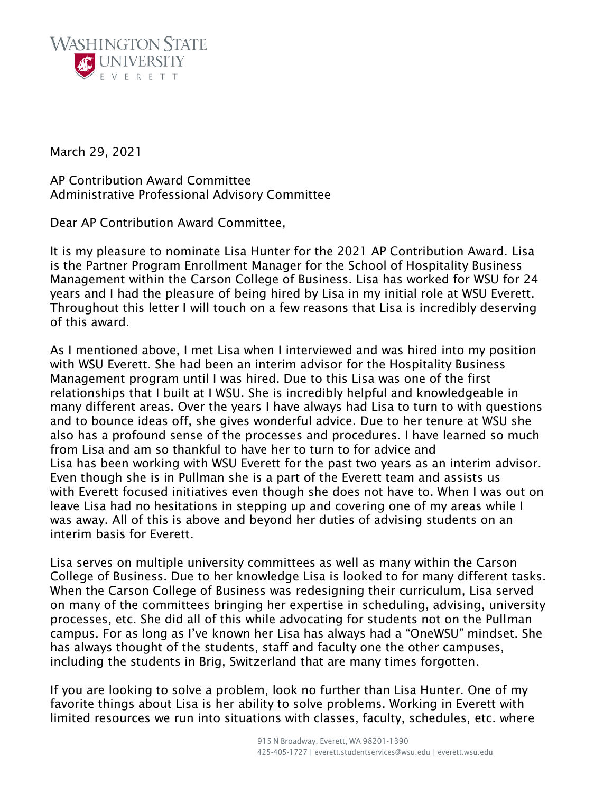

March 29, 2021

AP Contribution Award Committee Administrative Professional Advisory Committee

Dear AP Contribution Award Committee,

It is my pleasure to nominate Lisa Hunter for the 2021 AP Contribution Award. Lisa is the Partner Program Enrollment Manager for the School of Hospitality Business Management within the Carson College of Business. Lisa has worked for WSU for 24 years and I had the pleasure of being hired by Lisa in my initial role at WSU Everett. Throughout this letter I will touch on a few reasons that Lisa is incredibly deserving of this award.

As I mentioned above, I met Lisa when I interviewed and was hired into my position with WSU Everett. She had been an interim advisor for the Hospitality Business Management program until I was hired. Due to this Lisa was one of the first relationships that I built at I WSU. She is incredibly helpful and knowledgeable in many different areas. Over the years I have always had Lisa to turn to with questions and to bounce ideas off, she gives wonderful advice. Due to her tenure at WSU she also has a profound sense of the processes and procedures. I have learned so much from Lisa and am so thankful to have her to turn to for advice and Lisa has been working with WSU Everett for the past two years as an interim advisor. Even though she is in Pullman she is a part of the Everett team and assists us with Everett focused initiatives even though she does not have to. When I was out on leave Lisa had no hesitations in stepping up and covering one of my areas while I was away. All of this is above and beyond her duties of advising students on an interim basis for Everett.

Lisa serves on multiple university committees as well as many within the Carson College of Business. Due to her knowledge Lisa is looked to for many different tasks. When the Carson College of Business was redesigning their curriculum, Lisa served on many of the committees bringing her expertise in scheduling, advising, university processes, etc. She did all of this while advocating for students not on the Pullman campus. For as long as I've known her Lisa has always had a "OneWSU" mindset. She has always thought of the students, staff and faculty one the other campuses, including the students in Brig, Switzerland that are many times forgotten.

If you are looking to solve a problem, look no further than Lisa Hunter. One of my favorite things about Lisa is her ability to solve problems. Working in Everett with limited resources we run into situations with classes, faculty, schedules, etc. where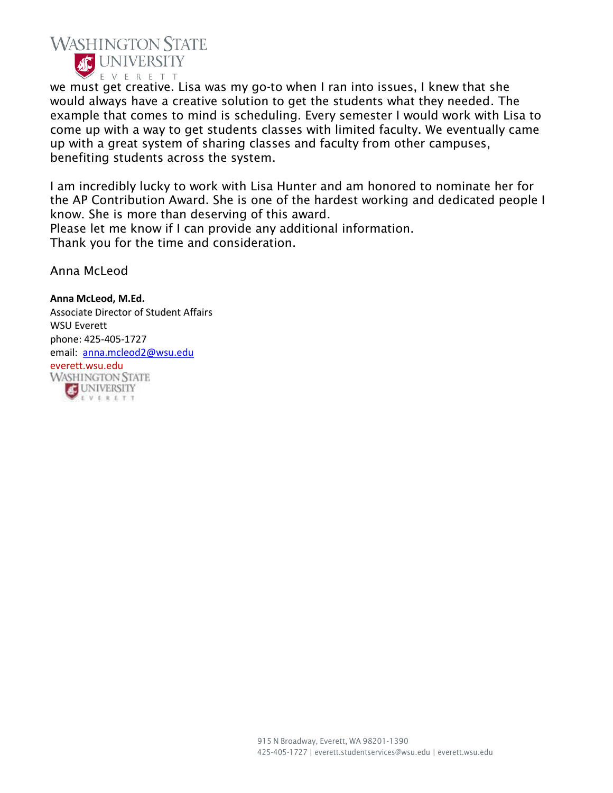

we must get creative. Lisa was my go-to when I ran into issues, I knew that she would always have a creative solution to get the students what they needed. The example that comes to mind is scheduling. Every semester I would work with Lisa to come up with a way to get students classes with limited faculty. We eventually came up with a great system of sharing classes and faculty from other campuses, benefiting students across the system.

I am incredibly lucky to work with Lisa Hunter and am honored to nominate her for the AP Contribution Award. She is one of the hardest working and dedicated people I know. She is more than deserving of this award.

Please let me know if I can provide any additional information. Thank you for the time and consideration.

Anna McLeod

## **Anna McLeod, M.Ed.**

EVERETT

Associate Director of Student Affairs WSU Everett phone: 425-405-1727 email: [anna.mcleod2@wsu.edu](mailto:anna.mcleod2@wsu.edu) everett.wsu.edu<br>WASHINGTON STATE **COUNTY**